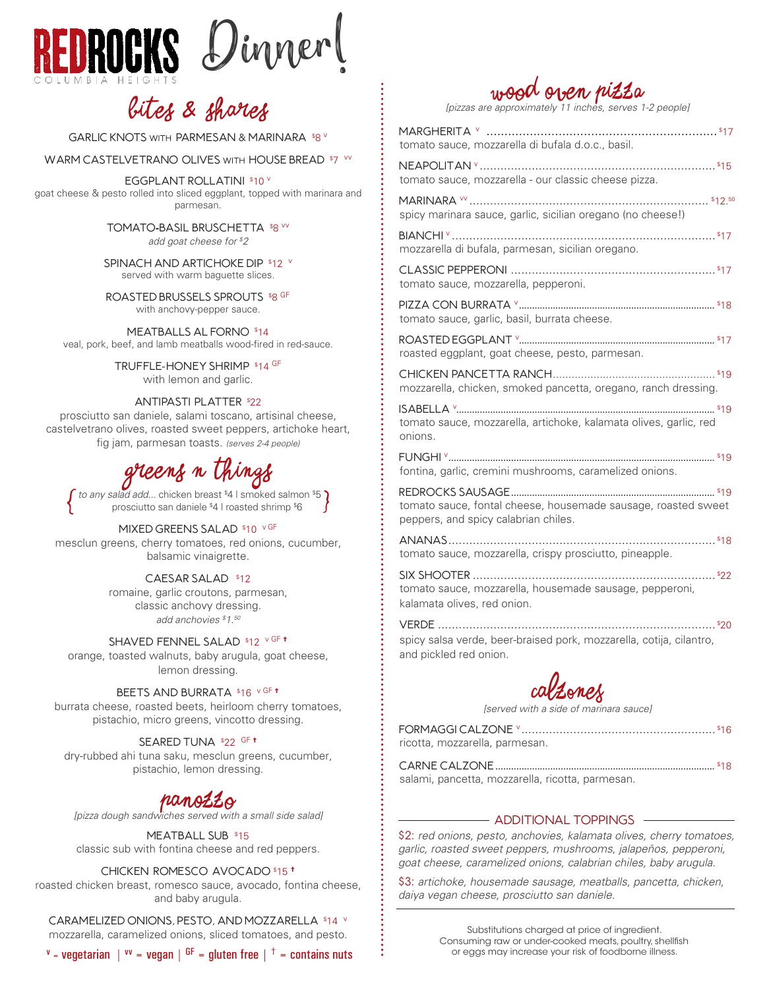

## bites & shares

GARLIC KNOTS WITH PARMESAN & MARINARA \$8 V

WARM CASTELVETRANO OLIVES WITH HOUSE BREAD \$7 W

EGGPLANT ROLLATINI \$10 V goat cheese & pesto rolled into sliced eggplant, topped with marinara and parmesan.

TOMATO-BASIL BRUSCHETTA \$8 VV

*add goat cheese for \$ 2*

SPINACH AND ARTICHOKE DIP \$12 V served with warm baguette slices.

ROASTED BRUSSELS SPROUTS \$8 GF with anchovy-pepper sauce.

Meatballs al Forno \$ 14 veal, pork, beef, and lamb meatballs wood-fired in red-sauce.

> TRUFFLE-HONEY SHRIMP \$14 GF with lemon and garlic.

#### Antipasti Platter \$ 22

prosciutto san daniele, salami toscano, artisinal cheese, castelvetrano olives, roasted sweet peppers, artichoke heart, fig jam, parmesan toasts. *(serves 2-4 people)*

# greens n Things

f *to any salad add...* chicken breast \$4 | smoked salmon \$5 }<br>prosciutto san daniele \$4 | roasted shrimp \$6

MIXED GREENS SALAD \$10 VGF

mesclun greens, cherry tomatoes, red onions, cucumber, balsamic vinaigrette.

CAESAR SALAD \$12

romaine, garlic croutons, parmesan, classic anchovy dressing. *add anchovies \$ 1.50*

Shaved Fennel Salad \$ 12 v GF † orange, toasted walnuts, baby arugula, goat cheese,

lemon dressing.

BEETS AND BURRATA \$16 vGF t

burrata cheese, roasted beets, heirloom cherry tomatoes, pistachio, micro greens, vincotto dressing.

SEARED TUNA \$22 GF **t** 

dry-rubbed ahi tuna saku, mesclun greens, cucumber, pistachio, lemon dressing.

## Panozzo

*[pizza dough sandwiches served with a small side salad]*

MEATBALL SUB \$15 classic sub with fontina cheese and red peppers.

#### Chicken, Romesco, Avocado \$ 15 †

roasted chicken breast, romesco sauce, avocado, fontina cheese, and baby arugula.

CARAMELIZED ONIONS, PESTO, AND MOZZARELLA \$14 V mozzarella, caramelized onions, sliced tomatoes, and pesto.

| mozzarella, caramelized onions, sliced tomatoes, and pesto. |  |  |  |
|-------------------------------------------------------------|--|--|--|

 $v = \text{v}$  vegetarian |  $v = \text{v}$  vegan |  $GF =$  gluten free |  $\dagger$  = contains nuts

## Wood Oven Pizza

*[pizzas are approximately 11 inches, serves 1-2 people]*

| tomato sauce, mozzarella di bufala d.o.c., basil.                                                     |
|-------------------------------------------------------------------------------------------------------|
| tomato sauce, mozzarella - our classic cheese pizza.                                                  |
| spicy marinara sauce, garlic, sicilian oregano (no cheese!)                                           |
| mozzarella di bufala, parmesan, sicilian oregano.                                                     |
| tomato sauce, mozzarella, pepperoni.                                                                  |
| tomato sauce, garlic, basil, burrata cheese.                                                          |
| roasted eggplant, goat cheese, pesto, parmesan.                                                       |
| mozzarella, chicken, smoked pancetta, oregano, ranch dressing.                                        |
| tomato sauce, mozzarella, artichoke, kalamata olives, garlic, red                                     |
| onions.                                                                                               |
| fontina, garlic, cremini mushrooms, caramelized onions.                                               |
| tomato sauce, fontal cheese, housemade sausage, roasted sweet<br>peppers, and spicy calabrian chiles. |
| tomato sauce, mozzarella, crispy prosciutto, pineapple.                                               |
| tomato sauce, mozzarella, housemade sausage, pepperoni,<br>kalamata olives, red onion.                |
| spicy salsa verde, beer-braised pork, mozzarella, cotija, cilantro,<br>and pickled red onion.         |



*[served with a side of marinara sauce]*

| ricotta, mozzarella, parmesan.                                                                                  |  |
|-----------------------------------------------------------------------------------------------------------------|--|
| the contract of the contract of the contract of the contract of the contract of the contract of the contract of |  |

salami, pancetta, mozzarella, ricotta, parmesan.

Formaggi Calzone <sup>v</sup> ........................................................ \$

### - ADDITIONAL TOPPINGS -

\$2: *red onions, pesto, anchovies, kalamata olives, cherry tomatoes, garlic, roasted sweet peppers, mushrooms, jalapeños, pepperoni, goat cheese, caramelized onions, calabrian chiles, baby arugula.*

\$3: *artichoke, housemade sausage, meatballs, pancetta, chicken, daiya vegan cheese, prosciutto san daniele.*

> Substitutions charged at price of ingredient. Consuming raw or under-cooked meats, poultry, shellfish or eggs may increase your risk of foodborne illness.